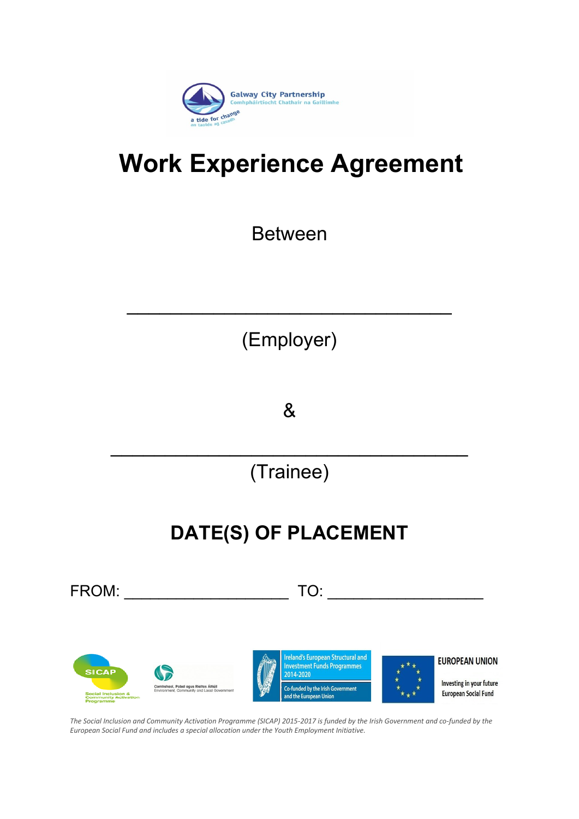

# **Work Experience Agreement**

Between

(Employer)

 $\mathcal{L}_\text{max}$  , and the set of the set of the set of the set of the set of the set of the set of the set of the set of the set of the set of the set of the set of the set of the set of the set of the set of the set of the

&

(Trainee)

 $\mathcal{L}_\text{max}$  , and the contract of the contract of the contract of the contract of the contract of the contract of the contract of the contract of the contract of the contract of the contract of the contract of the contr

## **DATE(S) OF PLACEMENT**

FROM: \_\_\_\_\_\_\_\_\_\_\_\_\_\_\_\_\_\_\_ TO: \_\_\_\_\_\_\_\_\_\_\_\_\_\_\_\_\_\_



*The Social Inclusion and Community Activation Programme (SICAP) 2015-2017 is funded by the Irish Government and co-funded by the European Social Fund and includes a special allocation under the Youth Employment Initiative.*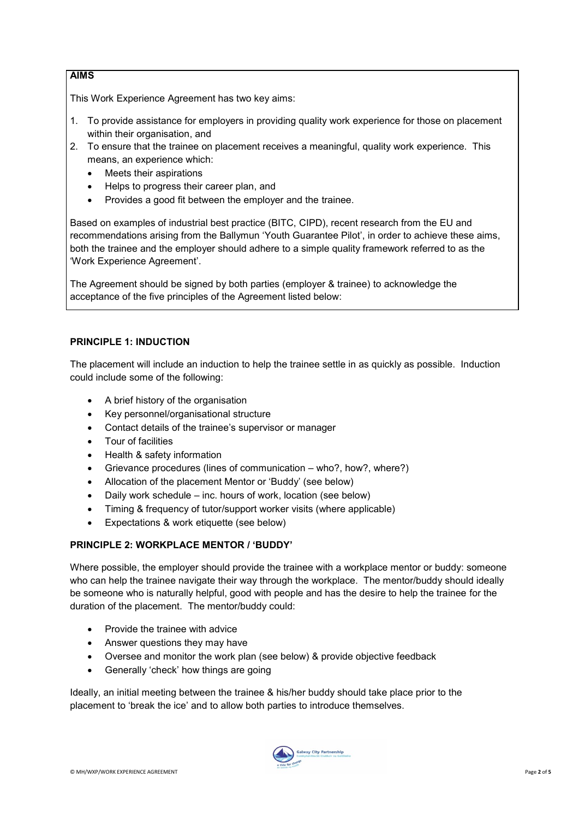#### **AIMS**

This Work Experience Agreement has two key aims:

- 1. To provide assistance for employers in providing quality work experience for those on placement within their organisation, and
- 2. To ensure that the trainee on placement receives a meaningful, quality work experience. This means, an experience which:
	- Meets their aspirations
	- Helps to progress their career plan, and
	- Provides a good fit between the employer and the trainee.

Based on examples of industrial best practice (BITC, CIPD), recent research from the EU and recommendations arising from the Ballymun 'Youth Guarantee Pilot', in order to achieve these aims, both the trainee and the employer should adhere to a simple quality framework referred to as the 'Work Experience Agreement'.

The Agreement should be signed by both parties (employer & trainee) to acknowledge the acceptance of the five principles of the Agreement listed below:

#### **PRINCIPLE 1: INDUCTION**

The placement will include an induction to help the trainee settle in as quickly as possible. Induction could include some of the following:

- A brief history of the organisation
- Key personnel/organisational structure
- Contact details of the trainee's supervisor or manager
- Tour of facilities
- Health & safety information
- Grievance procedures (lines of communication who?, how?, where?)
- Allocation of the placement Mentor or 'Buddy' (see below)
- Daily work schedule inc. hours of work, location (see below)
- Timing & frequency of tutor/support worker visits (where applicable)
- Expectations & work etiquette (see below)

#### **PRINCIPLE 2: WORKPLACE MENTOR / 'BUDDY'**

Where possible, the employer should provide the trainee with a workplace mentor or buddy: someone who can help the trainee navigate their way through the workplace. The mentor/buddy should ideally be someone who is naturally helpful, good with people and has the desire to help the trainee for the duration of the placement. The mentor/buddy could:

- Provide the trainee with advice
- Answer questions they may have
- Oversee and monitor the work plan (see below) & provide objective feedback
- Generally 'check' how things are going

Ideally, an initial meeting between the trainee & his/her buddy should take place prior to the placement to 'break the ice' and to allow both parties to introduce themselves.

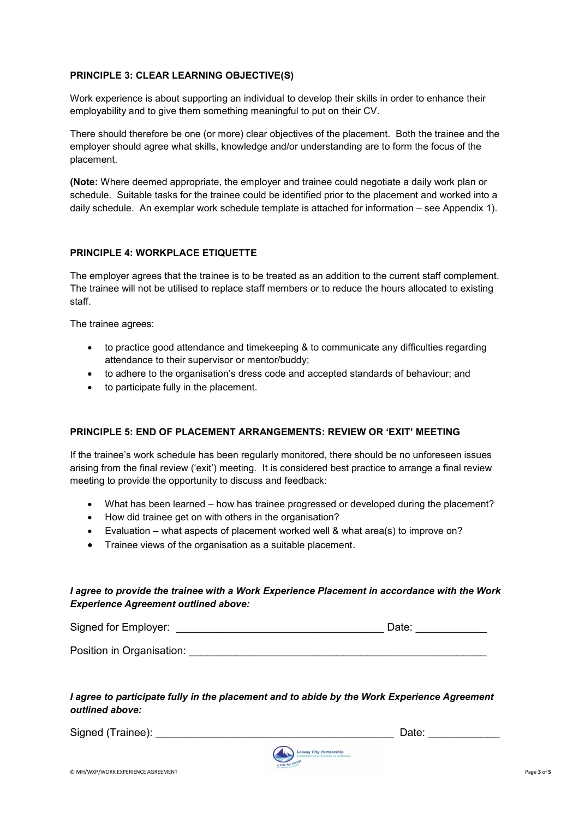#### **PRINCIPLE 3: CLEAR LEARNING OBJECTIVE(S)**

Work experience is about supporting an individual to develop their skills in order to enhance their employability and to give them something meaningful to put on their CV.

There should therefore be one (or more) clear objectives of the placement. Both the trainee and the employer should agree what skills, knowledge and/or understanding are to form the focus of the placement.

**(Note:** Where deemed appropriate, the employer and trainee could negotiate a daily work plan or schedule. Suitable tasks for the trainee could be identified prior to the placement and worked into a daily schedule. An exemplar work schedule template is attached for information – see Appendix 1).

#### **PRINCIPLE 4: WORKPLACE ETIQUETTE**

The employer agrees that the trainee is to be treated as an addition to the current staff complement. The trainee will not be utilised to replace staff members or to reduce the hours allocated to existing staff.

The trainee agrees:

- to practice good attendance and timekeeping & to communicate any difficulties regarding attendance to their supervisor or mentor/buddy;
- to adhere to the organisation's dress code and accepted standards of behaviour; and
- to participate fully in the placement.

#### **PRINCIPLE 5: END OF PLACEMENT ARRANGEMENTS: REVIEW OR 'EXIT' MEETING**

If the trainee's work schedule has been regularly monitored, there should be no unforeseen issues arising from the final review ('exit') meeting. It is considered best practice to arrange a final review meeting to provide the opportunity to discuss and feedback:

- What has been learned how has trainee progressed or developed during the placement?
- How did trainee get on with others in the organisation?
- Evaluation what aspects of placement worked well & what area(s) to improve on?
- Trainee views of the organisation as a suitable placement.

#### *I agree to provide the trainee with a Work Experience Placement in accordance with the Work Experience Agreement outlined above:*

Signed for Employer: \_\_\_\_\_\_\_\_\_\_\_\_\_\_\_\_\_\_\_\_\_\_\_\_\_\_\_\_\_\_\_\_\_\_\_ Date: \_\_\_\_\_\_\_\_\_\_\_\_

Position in Organisation:

#### *I agree to participate fully in the placement and to abide by the Work Experience Agreement outlined above:*

Signed (Trainee): \_\_\_\_\_\_\_\_\_\_\_\_\_\_\_\_\_\_\_\_\_\_\_\_\_\_\_\_\_\_\_\_\_\_\_\_\_\_\_\_ Date: \_\_\_\_\_\_\_\_\_\_\_\_

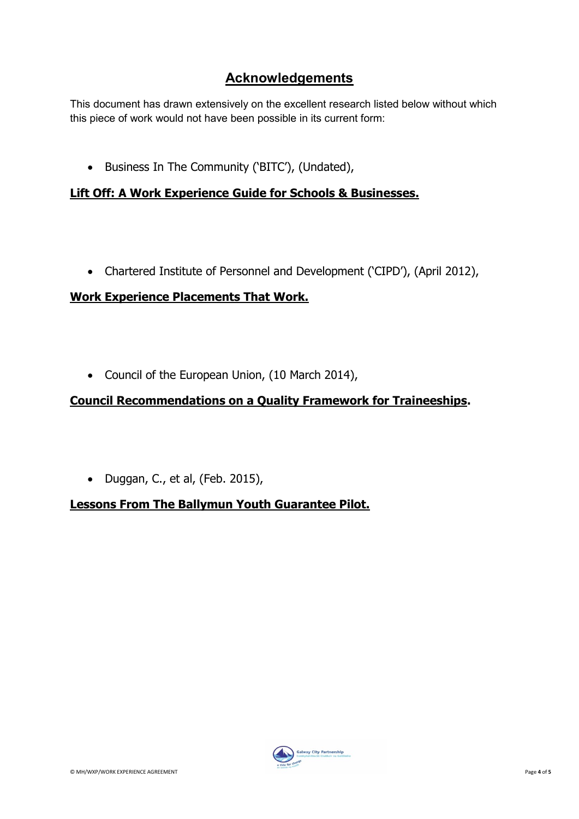## **Acknowledgements**

This document has drawn extensively on the excellent research listed below without which this piece of work would not have been possible in its current form:

• Business In The Community ('BITC'), (Undated),

## **Lift Off: A Work Experience Guide for Schools & Businesses.**

Chartered Institute of Personnel and Development ('CIPD'), (April 2012),

## **Work Experience Placements That Work.**

• Council of the European Union, (10 March 2014),

## **Council Recommendations on a Quality Framework for Traineeships.**

Duggan, C., et al, (Feb. 2015),

## **Lessons From The Ballymun Youth Guarantee Pilot.**